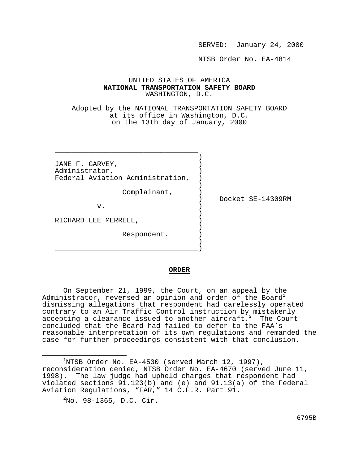SERVED: January 24, 2000

NTSB Order No. EA-4814

## UNITED STATES OF AMERICA **NATIONAL TRANSPORTATION SAFETY BOARD** WASHINGTON, D.C.

Adopted by the NATIONAL TRANSPORTATION SAFETY BOARD at its office in Washington, D.C. on the 13th day of January, 2000

JANE F. GARVEY, Administrator, ) Federal Aviation Administration, )

)

)

 ) \_\_\_\_\_\_\_\_\_\_\_\_\_\_\_\_\_\_\_\_\_\_\_\_\_\_\_\_\_\_\_\_\_\_)

 $\frac{1}{\sqrt{2}}$  ,  $\frac{1}{\sqrt{2}}$  ,  $\frac{1}{\sqrt{2}}$  ,  $\frac{1}{\sqrt{2}}$  ,  $\frac{1}{\sqrt{2}}$  ,  $\frac{1}{\sqrt{2}}$  ,  $\frac{1}{\sqrt{2}}$  ,  $\frac{1}{\sqrt{2}}$  ,  $\frac{1}{\sqrt{2}}$  ,  $\frac{1}{\sqrt{2}}$  ,  $\frac{1}{\sqrt{2}}$  ,  $\frac{1}{\sqrt{2}}$  ,  $\frac{1}{\sqrt{2}}$  ,  $\frac{1}{\sqrt{2}}$  ,  $\frac{1}{\sqrt{2}}$ )

Complainant, )

) Docket SE-14309RM

 $\mathbf v$ .  $\qquad \qquad \qquad$  )

RICHARD LEE MERRELL,

Respondent. )

## **ORDER**

On September 21, 1999, the Court, on an appeal by the Administrator, reversed an opinion and order of the Board<sup>1</sup> dismissing allegations that respondent had carelessly operated contrary to an Air Traffic Control instruction by mistakenly accepting a clearance issued to another aircraft. $2$  The Court concluded that the Board had failed to defer to the FAA's reasonable interpretation of its own regulations and remanded the case for further proceedings consistent with that conclusion.

i

 $1$ NTSB Order No. EA-4530 (served March 12, 1997), reconsideration denied, NTSB Order No. EA-4670 (served June 11, 1998). The law judge had upheld charges that respondent had violated sections 91.123(b) and (e) and 91.13(a) of the Federal Aviation Regulations, "FAR," 14 C.F.R. Part 91.

 $2^2$ No. 98-1365, D.C. Cir.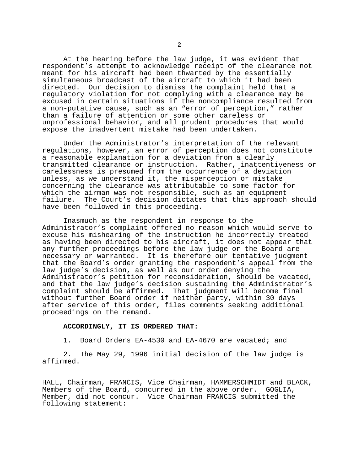At the hearing before the law judge, it was evident that respondent's attempt to acknowledge receipt of the clearance not meant for his aircraft had been thwarted by the essentially simultaneous broadcast of the aircraft to which it had been directed. Our decision to dismiss the complaint held that a regulatory violation for not complying with a clearance may be excused in certain situations if the noncompliance resulted from a non-putative cause, such as an "error of perception," rather than a failure of attention or some other careless or unprofessional behavior, and all prudent procedures that would expose the inadvertent mistake had been undertaken.

Under the Administrator's interpretation of the relevant regulations, however, an error of perception does not constitute a reasonable explanation for a deviation from a clearly transmitted clearance or instruction. Rather, inattentiveness or carelessness is presumed from the occurrence of a deviation unless, as we understand it, the misperception or mistake concerning the clearance was attributable to some factor for which the airman was not responsible, such as an equipment failure. The Court's decision dictates that this approach should have been followed in this proceeding.

Inasmuch as the respondent in response to the Administrator's complaint offered no reason which would serve to excuse his mishearing of the instruction he incorrectly treated as having been directed to his aircraft, it does not appear that any further proceedings before the law judge or the Board are necessary or warranted. It is therefore our tentative judgment that the Board's order granting the respondent's appeal from the law judge's decision, as well as our order denying the Administrator's petition for reconsideration, should be vacated, and that the law judge's decision sustaining the Administrator's complaint should be affirmed. That judgment will become final without further Board order if neither party, within 30 days after service of this order, files comments seeking additional proceedings on the remand.

## **ACCORDINGLY, IT IS ORDERED THAT:**

1. Board Orders EA-4530 and EA-4670 are vacated; and

2. The May 29, 1996 initial decision of the law judge is affirmed.

HALL, Chairman, FRANCIS, Vice Chairman, HAMMERSCHMIDT and BLACK, Members of the Board, concurred in the above order. GOGLIA, Member, did not concur. Vice Chairman FRANCIS submitted the following statement: